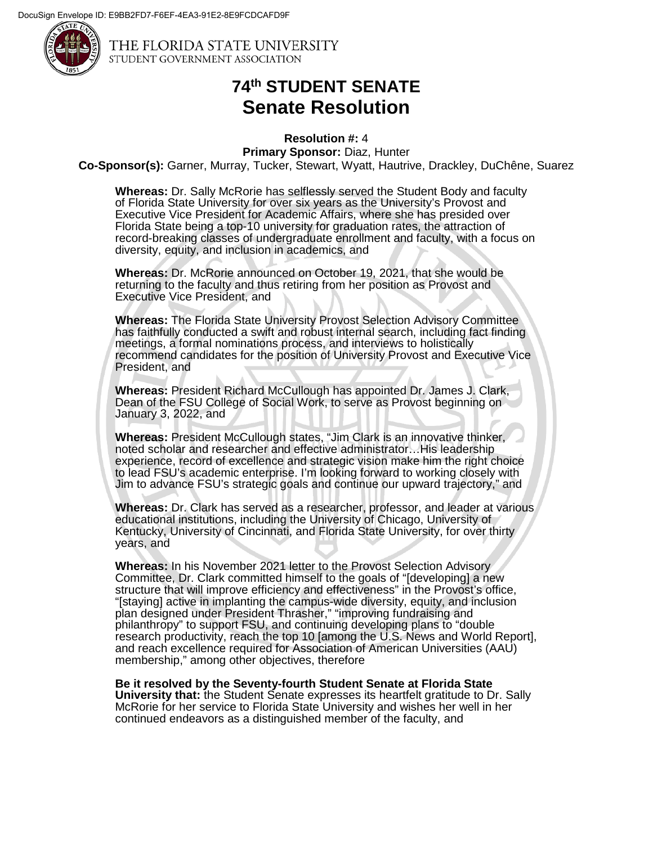

THE FLORIDA STATE UNIVERSITY STUDENT GOVERNMENT ASSOCIATION

## **74th STUDENT SENATE Senate Resolution**

**Resolution #:** 4

**Primary Sponsor:** Diaz, Hunter **Co-Sponsor(s):** Garner, Murray, Tucker, Stewart, Wyatt, Hautrive, Drackley, DuChêne, Suarez

**Whereas:** Dr. Sally McRorie has selflessly served the Student Body and faculty of Florida State University for over six years as the University's Provost and Executive Vice President for Academic Affairs, where she has presided over Florida State being a top-10 university for graduation rates, the attraction of record-breaking classes of undergraduate enrollment and faculty, with a focus on diversity, equity, and inclusion in academics, and

**Whereas:** Dr. McRorie announced on October 19, 2021, that she would be returning to the faculty and thus retiring from her position as Provost and Executive Vice President, and

**Whereas:** The Florida State University Provost Selection Advisory Committee has faithfully conducted a swift and robust internal search, including fact finding meetings, a formal nominations process, and interviews to holistically recommend candidates for the position of University Provost and Executive Vice President, and

**Whereas:** President Richard McCullough has appointed Dr. James J. Clark, Dean of the FSU College of Social Work, to serve as Provost beginning on January 3, 2022, and

**Whereas:** President McCullough states, "Jim Clark is an innovative thinker, noted scholar and researcher and effective administrator…His leadership experience, record of excellence and strategic vision make him the right choice to lead FSU's academic enterprise. I'm looking forward to working closely with Jim to advance FSU's strategic goals and continue our upward trajectory," and

**Whereas:** Dr. Clark has served as a researcher, professor, and leader at various educational institutions, including the University of Chicago, University of Kentucky, University of Cincinnati, and Florida State University, for over thirty years, and

**Whereas:** In his November 2021 letter to the Provost Selection Advisory Committee, Dr. Clark committed himself to the goals of "[developing] a new structure that will improve efficiency and effectiveness" in the Provost's office, "[staying] active in implanting the campus-wide diversity, equity, and inclusion plan designed under President Thrasher," "improving fundraising and philanthropy" to support FSU, and continuing developing plans to "double research productivity, reach the top 10 [among the U.S. News and World Report], and reach excellence required for Association of American Universities (AAU) membership," among other objectives, therefore

**Be it resolved by the Seventy-fourth Student Senate at Florida State University that:** the Student Senate expresses its heartfelt gratitude to Dr. Sally McRorie for her service to Florida State University and wishes her well in her continued endeavors as a distinguished member of the faculty, and